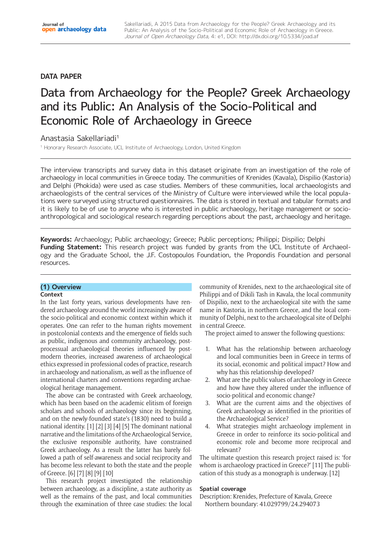## **DATA PAPER**

# Data from Archaeology for the People? Greek Archaeology and its Public: An Analysis of the Socio-Political and Economic Role of Archaeology in Greece

Anastasia Sakellariadi1

<sup>1</sup> Honorary Research Associate, UCL Institute of Archaeology, London, United Kingdom

The interview transcripts and survey data in this dataset originate from an investigation of the role of archaeology in local communities in Greece today. The communities of Krenides (Kavala), Dispilio (Kastoria) and Delphi (Phokida) were used as case studies. Members of these communities, local archaeologists and archaeologists of the central services of the Ministry of Culture were interviewed while the local populations were surveyed using structured questionnaires. The data is stored in textual and tabular formats and it is likely to be of use to anyone who is interested in public archaeology, heritage management or socioanthropological and sociological research regarding perceptions about the past, archaeology and heritage.

**Keywords:** Archaeology; Public archaeology; Greece; Public perceptions; Philippi; Dispilio; Delphi **Funding Statement:** This research project was funded by grants from the UCL Institute of Archaeology and the Graduate School, the J.F. Costopoulos Foundation, the Propondis Foundation and personal resources.

# **(1) Overview**

## **Context**

In the last forty years, various developments have rendered archaeology around the world increasingly aware of the socio-political and economic context within which it operates. One can refer to the human rights movement in postcolonial contexts and the emergence of fields such as public, indigenous and community archaeology, postprocessual archaeological theories influenced by postmodern theories, increased awareness of archaeological ethics expressed in professional codes of practice, research in archaeology and nationalism, as well as the influence of international charters and conventions regarding archaeological heritage management.

The above can be contrasted with Greek archaeology, which has been based on the academic elitism of foreign scholars and schools of archaeology since its beginning, and on the newly-founded state's (1830) need to build a national identity. [1] [2] [3] [4] [5] The dominant national narrative and the limitations of the Archaeological Service, the exclusive responsible authority, have constrained Greek archaeology. As a result the latter has barely followed a path of self-awareness and social reciprocity and has become less relevant to both the state and the people of Greece. [6] [7] [8] [9] [10]

This research project investigated the relationship between archaeology, as a discipline, a state authority as well as the remains of the past, and local communities through the examination of three case studies: the local

community of Krenides, next to the archaeological site of Philippi and of Dikili Tash in Kavala, the local community of Dispilio, next to the archaeological site with the same name in Kastoria, in northern Greece, and the local community of Delphi, next to the archaeological site of Delphi in central Greece.

The project aimed to answer the following questions:

- 1. What has the relationship between archaeology and local communities been in Greece in terms of its social, economic and political impact? How and why has this relationship developed?
- 2. What are the public values of archaeology in Greece and how have they altered under the influence of socio-political and economic change?
- 3. What are the current aims and the objectives of Greek archaeology as identified in the priorities of the Archaeological Service?
- 4. What strategies might archaeology implement in Greece in order to reinforce its socio-political and economic role and become more reciprocal and relevant?

The ultimate question this research project raised is: 'for whom is archaeology practiced in Greece?' [11] The publication of this study as a monograph is underway. [12]

## **Spatial coverage**

Description: Krenides, Prefecture of Kavala, Greece Northern boundary: 41.029799/24.294073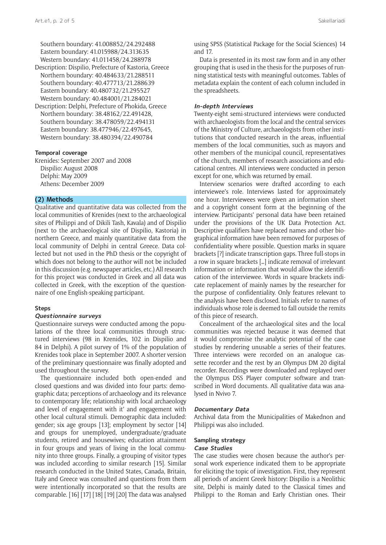Southern boundary: 41.008852/24.292488 Eastern boundary: 41.015988/24.313635 Western boundary: 41.011458/24.288978

- Description: Dispilio, Prefecture of Kastoria, Greece Northern boundary: 40.484633/21.288511 Southern boundary: 40.477713/21.288639 Eastern boundary: 40.480732/21.295527 Western boundary: 40.484001/21.284021
- Description: Delphi, Prefecture of Phokida, Greece Northern boundary: 38.48162/22.491428, Southern boundary: 38.478059/22.494131 Eastern boundary: 38.477946/22.497645, Western boundary: 38.480394/22.490784

#### **Temporal coverage**

Krenides: September 2007 and 2008 Dispilio: August 2008 Delphi: May 2009 Athens: December 2009

## **(2) Methods**

Qualitative and quantitative data was collected from the local communities of Krenides (next to the archaeological sites of Philippi and of Dikili Tash, Kavala) and of Dispilio (next to the archaeological site of Dispilio, Kastoria) in northern Greece, and mainly quantitative data from the local community of Delphi in central Greece. Data collected but not used in the PhD thesis or the copyright of which does not belong to the author will not be included in this discussion (e.g. newspaper articles, etc.) All research for this project was conducted in Greek and all data was collected in Greek, with the exception of the questionnaire of one English-speaking participant.

#### **Steps**

#### **Questionnaire surveys**

Questionnaire surveys were conducted among the populations of the three local communities through structured interviews (98 in Krenides, 102 in Dispilio and 84 in Delphi). A pilot survey of 1% of the population of Krenides took place in September 2007. A shorter version of the preliminary questionnaire was finally adopted and used throughout the survey.

The questionnaire included both open-ended and closed questions and was divided into four parts: demographic data; perceptions of archaeology and its relevance to contemporary life; relationship with local archaeology and level of engagement with it' and engagement with other local cultural stimuli. Demographic data included: gender; six age groups [13]; employment by sector [14] and groups for unemployed, undergraduate/graduate students, retired and housewives; education attainment in four groups and years of living in the local community into three groups. Finally, a grouping of visitor types was included according to similar research [15]. Similar research conducted in the United States, Canada, Britain, Italy and Greece was consulted and questions from them were intentionally incorporated so that the results are comparable. [16] [17] [18] [19] [20] The data was analysed using SPSS (Statistical Package for the Social Sciences) 14 and 17.

Data is presented in its most raw form and in any other grouping that is used in the thesis for the purposes of running statistical tests with meaningful outcomes. Tables of metadata explain the content of each column included in the spreadsheets.

#### **In-depth Interviews**

Twenty-eight semi-structured interviews were conducted with archaeologists from the local and the central services of the Ministry of Culture, archaeologists from other institutions that conducted research in the areas, influential members of the local communities, such as mayors and other members of the municipal council, representatives of the church, members of research associations and educational centres. All interviews were conducted in person except for one, which was returned by email.

Interview scenarios were drafted according to each interviewee's role. Interviews lasted for approximately one hour. Interviewees were given an information sheet and a copyright consent form at the beginning of the interview. Participants' personal data have been retained under the provisions of the UK Data Protection Act. Descriptive qualifiers have replaced names and other biographical information have been removed for purposes of confidentiality where possible. Question marks in square brackets [?] indicate transcription gaps. Three full-stops in a row in square brackets […] indicate removal of irrelevant information or information that would allow the identification of the interviewee. Words in square brackets indicate replacement of mainly names by the researcher for the purpose of confidentiality. Only features relevant to the analysis have been disclosed. Initials refer to names of individuals whose role is deemed to fall outside the remits of this piece of research.

Concealment of the archaeological sites and the local communities was rejected because it was deemed that it would compromise the analytic potential of the case studies by rendering unusable a series of their features. Three interviews were recorded on an analogue cassette recorder and the rest by an Olympus DM 20 digital recorder. Recordings were downloaded and replayed over the Olympus DSS Player computer software and transcribed in Word documents. All qualitative data was analysed in Nvivo 7.

#### **Documentary Data**

Archival data from the Municipalities of Makednon and Philippi was also included.

#### **Sampling strategy Case Studies**

The case studies were chosen because the author's personal work experience indicated them to be appropriate for eliciting the topic of investigation. First, they represent all periods of ancient Greek history: Dispilio is a Neolithic site, Delphi is mainly dated to the Classical times and Philippi to the Roman and Early Christian ones. Their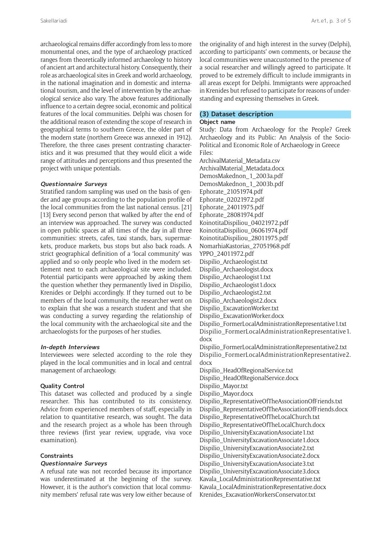archaeological remains differ accordingly from less to more monumental ones, and the type of archaeology practiced ranges from theoretically informed archaeology to history of ancient art and architectural history. Consequently, their role as archaeological sites in Greek and world archaeology, in the national imagination and in domestic and international tourism, and the level of intervention by the archaeological service also vary. The above features additionally influence to a certain degree social, economic and political features of the local communities. Delphi was chosen for the additional reason of extending the scope of research in geographical terms to southern Greece, the older part of the modern state (northern Greece was annexed in 1912). Therefore, the three cases present contrasting characteristics and it was presumed that they would elicit a wide range of attitudes and perceptions and thus presented the project with unique potentials.

#### **Questionnaire Surveys**

Stratified random sampling was used on the basis of gender and age groups according to the population profile of the local communities from the last national census. [21] [13] Every second person that walked by after the end of an interview was approached. The survey was conducted in open public spaces at all times of the day in all three communities: streets, cafes, taxi stands, bars, supermarkets, produce markets, bus stops but also back roads. A strict geographical definition of a 'local community' was applied and so only people who lived in the modern settlement next to each archaeological site were included. Potential participants were approached by asking them the question whether they permanently lived in Dispilio, Krenides or Delphi accordingly. If they turned out to be members of the local community, the researcher went on to explain that she was a research student and that she was conducting a survey regarding the relationship of the local community with the archaeological site and the archaeologists for the purposes of her studies.

#### **In-depth Interviews**

Interviewees were selected according to the role they played in the local communities and in local and central management of archaeology.

#### **Quality Control**

This dataset was collected and produced by a single researcher. This has contributed to its consistency. Advice from experienced members of staff, especially in relation to quantitative research, was sought. The data and the research project as a whole has been through three reviews (first year review, upgrade, viva voce examination).

## **Constraints**

## **Questionnaire Surveys**

A refusal rate was not recorded because its importance was underestimated at the beginning of the survey. However, it is the author's conviction that local community members' refusal rate was very low either because of the originality of and high interest in the survey (Delphi), according to participants' own comments, or because the local communities were unaccustomed to the presence of a social researcher and willingly agreed to participate. It proved to be extremely difficult to include immigrants in all areas except for Delphi. Immigrants were approached in Krenides but refused to participate for reasons of understanding and expressing themselves in Greek.

# **(3) Dataset description**

## **Object name**

Study: Data from Archaeology for the People? Greek Archaeology and its Public: An Analysis of the Socio-Political and Economic Role of Archaeology in Greece Files:

ArchivalMaterial\_Metadata.csv ArchivalMaterial\_Metadata.docx DemosMakednon\_1\_2003a.pdf DemosMakednon\_1\_2003b.pdf Ephorate\_21051974.pdf Ephorate\_02021972.pdf Ephorate\_24011975.pdf Ephorate\_28081974.pdf KoinotitaDispiliou\_04021972.pdf KoinotitaDispiliou\_06061974.pdf KoinotitaDispiliou\_28011975.pdf NomarhiaKastorias\_27051968.pdf YPPO\_24011972.pdf Dispilio\_Archaeologist.txt Dispilio\_Archaeologist.docx Dispilio\_Archaeologist1.txt Dispilio\_Archaeologist1.docx Dispilio\_Archaeologist2.txt Dispilio\_Archaeologist2.docx Dispilio\_ExcavationWorker.txt Dispilio\_ExcavationWorker.docx Dispilio\_FormerLocalAdministrationRepresentative1.txt Dispilio\_FormerLocalAdministrationRepresentative1. docx Dispilio\_FormerLocalAdministrationRepresentative2.txt Dispilio\_FormerLocalAdministrationRepresentative2. docx Dispilio\_HeadOfRegionalService.txt Dispilio\_HeadOfRegionalService.docx Dispilio\_Mayor.txt Dispilio\_Mayor.docx Dispilio\_RepresentativeOfTheAssociationOfFriends.txt Dispilio\_RepresentativeOfTheAssociationOfFriends.docx Dispilio\_RepresentativeOfTheLocalChurch.txt Dispilio\_RepresentativeOfTheLocalChurch.docx Dispilio\_UniversityExcavationAssociate1.txt Dispilio\_UniversityExcavationAssociate1.docx Dispilio\_UniversityExcavationAssociate2.txt Dispilio\_UniversityExcavationAssociate2.docx Dispilio\_UniversityExcavationAssociate3.txt Dispilio\_UniversityExcavationAssociate3.docx Kavala\_LocalAdministrationRepresentative.txt Kavala\_LocalAdministrationRepresentative.docx

Krenides\_ExcavationWorkersConservator.txt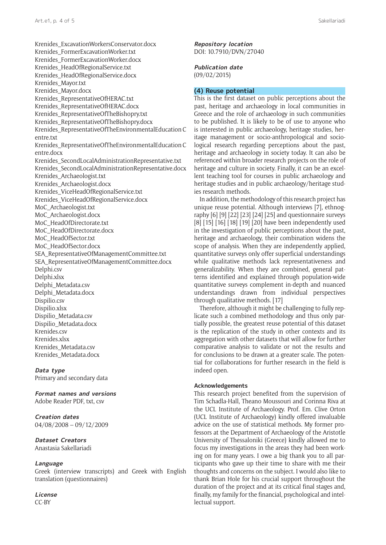Krenides\_ExcavationWorkersConservator.docx Krenides\_FormerExcavationWorker.txt Krenides\_FormerExcavationWorker.docx Krenides\_HeadOfRegionalService.txt Krenides\_HeadOfRegionalService.docx Krenides\_Mayor.txt Krenides\_Mayor.docx Krenides\_RepresentativeOfHERAC.txt Krenides\_RepresentativeOfHERAC.docx Krenides\_RepresentativeOfTheBishopry.txt Krenides\_RepresentativeOfTheBishopry.docx Krenides\_RepresentativeOfTheEnvironmentalEducation [C](Centre.txt) [entre.txt](Centre.txt) Krenides\_RepresentativeOfTheEnvironmentalEducation [C](Centre.docx) [entre.docx](Centre.docx) Krenides\_SecondLocalAdministrationRepresentative.txt Krenides\_SecondLocalAdministrationRepresentative.docx Krenides\_Archaeologist.txt Krenides\_Archaeologist.docx Krenides\_ViceHeadOfRegionalService.txt Krenides\_ViceHeadOfRegionalService.docx MoC\_Archaeologist.txt MoC\_Archaeologist.docx MoC\_HeadOfDirectorate.txt MoC\_HeadOfDirectorate.docx MoC\_HeadOfSector.txt MoC\_HeadOfSector.docx SEA\_RepresentativeOfManagementCommittee.txt SEA\_RepresentativeOfManagementCommittee.docx Delphi.csv Delphi.xlsx Delphi\_Metadata.csv Delphi\_Metadata.docx Dispilio.csv Dispilio.xlsx Dispilio\_Metadata.csv Dispilio\_Metadata.docx Krenides.csv Krenides.xlsx Krenides\_Metadata.csv Krenides\_Metadata.docx

#### **Data type**

Primary and secondary data

**Format names and versions** Adobe Reader PDF, txt, csv

**Creation dates** 04/08/2008 – 09/12/2009

## **Dataset Creators**

Anastasia Sakellariadi

#### **Language**

Greek (interview transcripts) and Greek with English translation (questionnaires)

**License** CC-BY

**Repository location** [DOI: 10.7910/DVN/27040](http://dx.doi.org/10.7910/DVN/27040)

#### **Publication date** (09/02/2015)

## **(4) Reuse potential**

This is the first dataset on public perceptions about the past, heritage and archaeology in local communities in Greece and the role of archaeology in such communities to be published. It is likely to be of use to anyone who is interested in public archaeology, heritage studies, heritage management or socio-anthropological and sociological research regarding perceptions about the past, heritage and archaeology in society today. It can also be referenced within broader research projects on the role of heritage and culture in society. Finally, it can be an excellent teaching tool for courses in public archaeology and heritage studies and in public archaeology/heritage studies research methods.

In addition, the methodology of this research project has unique reuse potential. Although interviews [7], ethnography [6] [9] [22] [23] [24] [25] and questionnaire surveys [8] [15] [16] [18] [19] [20] have been independently used in the investigation of public perceptions about the past, heritage and archaeology, their combination widens the scope of analysis. When they are independently applied, quantitative surveys only offer superficial understandings while qualitative methods lack representativeness and generalizability. When they are combined, general patterns identified and explained through population-wide quantitative surveys complement in-depth and nuanced understandings drawn from individual perspectives through qualitative methods. [17]

Therefore, although it might be challenging to fully replicate such a combined methodology and thus only partially possible, the greatest reuse potential of this dataset is the replication of the study in other contexts and its aggregation with other datasets that will allow for further comparative analysis to validate or not the results and for conclusions to be drawn at a greater scale. The potential for collaborations for further research in the field is indeed open.

#### **Acknowledgements**

This research project benefited from the supervision of Tim Schadla-Hall, Theano Moussouri and Corinna Riva at the UCL Institute of Archaeology. Prof. Em. Clive Orton (UCL Institute of Archaeology) kindly offered invaluable advice on the use of statistical methods. My former professors at the Department of Archaeology of the Aristotle University of Thessaloniki (Greece) kindly allowed me to focus my investigations in the areas they had been working on for many years. I owe a big thank you to all participants who gave up their time to share with me their thoughts and concerns on the subject. I would also like to thank Brian Hole for his crucial support throughout the duration of the project and at its critical final stages and, finally, my family for the financial, psychological and intellectual support.